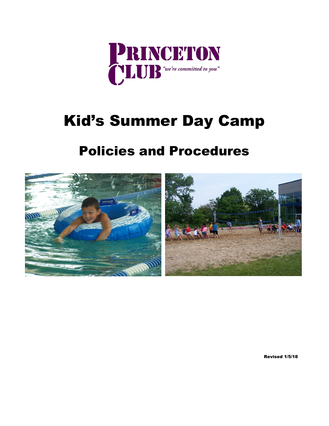

# Kid's Summer Day Camp

## Policies and Procedures



Revised 1/5/18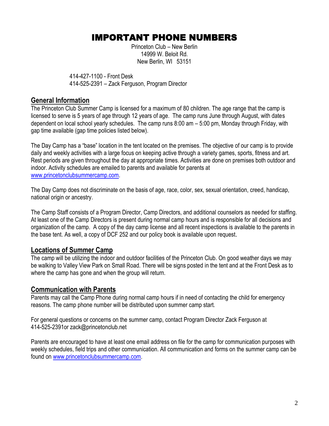## IMPORTANT PHONE NUMBERS

Princeton Club – New Berlin 14999 W. Beloit Rd. New Berlin, WI 53151

414-427-1100 - Front Desk 414-525-2391 – Zack Ferguson, Program Director

#### **General Information**

The Princeton Club Summer Camp is licensed for a maximum of 80 children. The age range that the camp is licensed to serve is 5 years of age through 12 years of age. The camp runs June through August, with dates dependent on local school yearly schedules. The camp runs 8:00 am – 5:00 pm, Monday through Friday, with gap time available (gap time policies listed below).

The Day Camp has a "base" location in the tent located on the premises. The objective of our camp is to provide daily and weekly activities with a large focus on keeping active through a variety games, sports, fitness and art. Rest periods are given throughout the day at appropriate times. Activities are done on premises both outdoor and indoor. Activity schedules are emailed to parents and available for parents at [www.princetonclubsummercamp.com.](http://www.princetonclubsummercamp.com/)

The Day Camp does not discriminate on the basis of age, race, color, sex, sexual orientation, creed, handicap, national origin or ancestry.

The Camp Staff consists of a Program Director, Camp Directors, and additional counselors as needed for staffing. At least one of the Camp Directors is present during normal camp hours and is responsible for all decisions and organization of the camp. A copy of the day camp license and all recent inspections is available to the parents in the base tent. As well, a copy of DCF 252 and our policy book is available upon request.

#### **Locations of Summer Camp**

The camp will be utilizing the indoor and outdoor facilities of the Princeton Club. On good weather days we may be walking to Valley View Park on Small Road. There will be signs posted in the tent and at the Front Desk as to where the camp has gone and when the group will return.

#### **Communication with Parents**

Parents may call the Camp Phone during normal camp hours if in need of contacting the child for emergency reasons. The camp phone number will be distributed upon summer camp start.

For general questions or concerns on the summer camp, contact Program Director Zack Ferguson at 414-525-2391or zack@princetonclub.net

Parents are encouraged to have at least one email address on file for the camp for communication purposes with weekly schedules, field trips and other communication. All communication and forms on the summer camp can be found on [www.princetonclubsummercamp.com.](http://www.princetonclubsummercamp.com/)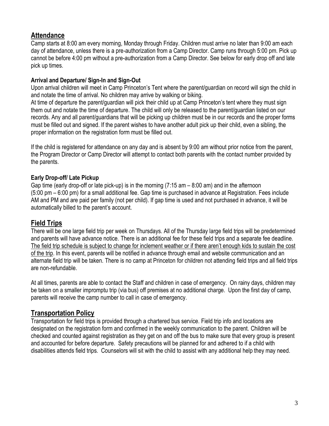## **Attendance**

Camp starts at 8:00 am every morning, Monday through Friday. Children must arrive no later than 9:00 am each day of attendance, unless there is a pre-authorization from a Camp Director. Camp runs through 5:00 pm. Pick up cannot be before 4:00 pm without a pre-authorization from a Camp Director. See below for early drop off and late pick up times.

#### **Arrival and Departure/ Sign-In and Sign-Out**

Upon arrival children will meet in Camp Princeton's Tent where the parent/guardian on record will sign the child in and notate the time of arrival. No children may arrive by walking or biking.

At time of departure the parent/guardian will pick their child up at Camp Princeton's tent where they must sign them out and notate the time of departure. The child will only be released to the parent/guardian listed on our records. Any and all parent/guardians that will be picking up children must be in our records and the proper forms must be filled out and signed. If the parent wishes to have another adult pick up their child, even a sibling, the proper information on the registration form must be filled out.

If the child is registered for attendance on any day and is absent by 9:00 am without prior notice from the parent, the Program Director or Camp Director will attempt to contact both parents with the contact number provided by the parents.

#### **Early Drop-off/ Late Pickup**

Gap time (early drop-off or late pick-up) is in the morning  $(7:15 \text{ am} - 8:00 \text{ am})$  and in the afternoon (5:00 pm – 6:00 pm) for a small additional fee. Gap time is purchased in advance at Registration. Fees include AM and PM and are paid per family (not per child). If gap time is used and not purchased in advance, it will be automatically billed to the parent's account.

#### **Field Trips**

There will be one large field trip per week on Thursdays. All of the Thursday large field trips will be predetermined and parents will have advance notice. There is an additional fee for these field trips and a separate fee deadline. The field trip schedule is subject to change for inclement weather or if there aren't enough kids to sustain the cost of the trip. In this event, parents will be notified in advance through email and website communication and an alternate field trip will be taken. There is no camp at Princeton for children not attending field trips and all field trips are non-refundable.

At all times, parents are able to contact the Staff and children in case of emergency. On rainy days, children may be taken on a smaller impromptu trip (via bus) off premises at no additional charge. Upon the first day of camp, parents will receive the camp number to call in case of emergency.

## **Transportation Policy**

Transportation for field trips is provided through a chartered bus service. Field trip info and locations are designated on the registration form and confirmed in the weekly communication to the parent. Children will be checked and counted against registration as they get on and off the bus to make sure that every group is present and accounted for before departure. Safety precautions will be planned for and adhered to if a child with disabilities attends field trips. Counselors will sit with the child to assist with any additional help they may need.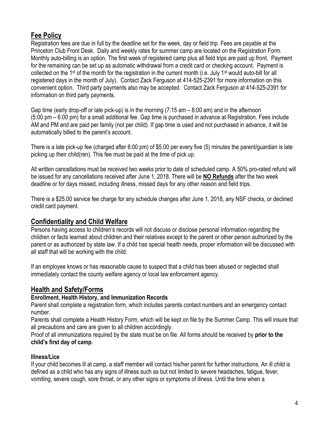## **Fee Policy**

Registration fees are due in full by the deadline set for the week, day or field trip. Fees are payable at the Princeton Club Front Desk. Daily and weekly rates for summer camp are located on the Registration Form. Monthly auto-billing is an option. The first week of registered camp plus all field trips are paid up front. Payment for the remaining can be set up as automatic withdrawal from a credit card or checking account. Payment is collected on the 1<sup>st</sup> of the month for the registration in the current month (i.e. July 1<sup>st</sup> would auto-bill for all registered days in the month of July). Contact Zack Ferguson at 414-525-2391 for more information on this convenient option. Third party payments also may be accepted. Contact Zack Ferguson at 414-525-2391 for information on third party payments.

Gap time (early drop-off or late pick-up) is in the morning (7:15 am – 8:00 am) and in the afternoon (5:00 pm – 6:00 pm) for a small additional fee. Gap time is purchased in advance at Registration. Fees include AM and PM and are paid per family (not per child). If gap time is used and not purchased in advance, it will be automatically billed to the parent's account.

There is a late pick-up fee (charged after 6:00 pm) of \$5.00 per every five (5) minutes the parent/guardian is late picking up their child(ren). This fee must be paid at the time of pick up.

All written cancellations must be received two weeks prior to date of scheduled camp. A 50% pro-rated refund will be issued for any cancellations received after June 1, 2018. There will be **NO Refunds** after the two week deadline or for days missed, including illness, missed days for any other reason and field trips.

There is a \$25.00 service fee charge for any schedule changes after June 1, 2018, any NSF checks, or declined credit card payment.

## **Confidentiality and Child Welfare**

Persons having access to children's records will not discuss or disclose personal information regarding the children or facts learned about children and their relatives except to the parent or other person authorized by the parent or as authorized by state law. If a child has special health needs, proper information will be discussed with all staff that will be working with the child.

If an employee knows or has reasonable cause to suspect that a child has been abused or neglected shall immediately contact the county welfare agency or local law enforcement agency.

## **Health and Safety/Forms**

#### **Enrollment, Health History, and Immunization Records**

Parent shall complete a registration form, which includes parents contact numbers and an emergency contact number.

Parents shall complete a Health History Form, which will be kept on file by the Summer Camp. This will insure that all precautions and care are given to all children accordingly.

Proof of all immunizations required by the state must be on file. All forms should be received by **prior to the child's first day of camp**.

#### **Illness/Lice**

If your child becomes ill at camp, a staff member will contact his/her parent for further instructions. An ill child is defined as a child who has any signs of illness such as but not limited to severe headaches, fatigue, fever, vomiting, severe cough, sore throat, or any other signs or symptoms of illness. Until the time when a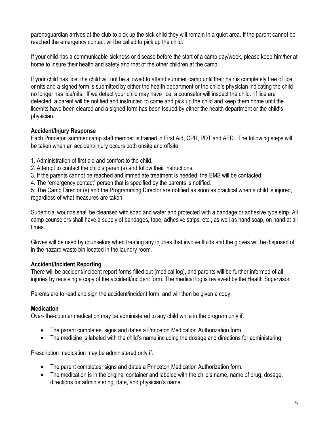parent/guardian arrives at the club to pick up the sick child they will remain in a quiet area. If the parent cannot be reached the emergency contact will be called to pick up the child.

If your child has a communicable sickness or disease before the start of a camp day/week, please keep him/her at home to insure their health and safety and that of the other children at the camp.

If your child has lice, the child will not be allowed to attend summer camp until their hair is completely free of lice or nits and a signed form is submitted by either the health department or the child's physician indicating the child no longer has lice/nits. If we detect your child may have lice, a counselor will inspect the child. If lice are detected, a parent will be notified and instructed to come and pick up the child and keep them home until the lice/nits have been cleared and a signed form has been issued by either the health department or the child's physician.

#### **Accident/Injury Response**

Each Princeton summer camp staff member is trained in First Aid, CPR, PDT and AED. The following steps will be taken when an accident/injury occurs both onsite and offsite.

- 1. Administration of first aid and comfort to the child.
- 2. Attempt to contact the child's parent(s) and follow their instructions.
- 3. If the parents cannot be reached and immediate treatment is needed, the EMS will be contacted.
- 4. The "emergency contact" person that is specified by the parents is notified.

5. The Camp Director (s) and the Programming Director are notified as soon as practical when a child is injured, regardless of what measures are taken.

Superficial wounds shall be cleansed with soap and water and protected with a bandage or adhesive type strip. All camp counselors shall have a supply of bandages, tape, adhesive strips, etc., as well as hand soap, on hand at all times.

Gloves will be used by counselors when treating any injuries that involve fluids and the gloves will be disposed of in the hazard waste bin located in the laundry room.

#### **Accident/Incident Reporting**

There will be accident/incident report forms filled out (medical log), and parents will be further informed of all injuries by receiving a copy of the accident/incident form. The medical log is reviewed by the Health Supervisor.

Parents are to read and sign the accident/incident form, and will then be given a copy.

#### **Medication**

Over- the-counter medication may be administered to any child while in the program only if:

- The parent completes, signs and dates a Princeton Medication Authorization form.
- The medicine is labeled with the child's name including the dosage and directions for administering.

Prescription medication may be administered only if:

- The parent completes, signs and dates a Princeton Medication Authorization form.
- The medication is in the original container and labeled with the child's name, name of drug, dosage, directions for administering, date, and physician's name.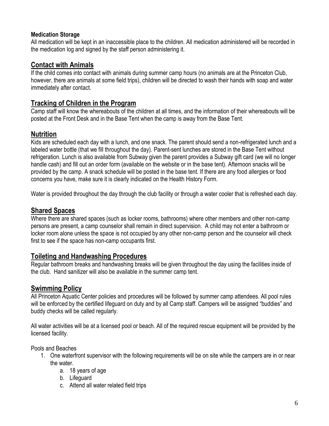#### **Medication Storage**

All medication will be kept in an inaccessible place to the children. All medication administered will be recorded in the medication log and signed by the staff person administering it.

## **Contact with Animals**

If the child comes into contact with animals during summer camp hours (no animals are at the Princeton Club, however, there are animals at some field trips), children will be directed to wash their hands with soap and water immediately after contact.

## **Tracking of Children in the Program**

Camp staff will know the whereabouts of the children at all times, and the information of their whereabouts will be posted at the Front Desk and in the Base Tent when the camp is away from the Base Tent.

## **Nutrition**

Kids are scheduled each day with a lunch, and one snack. The parent should send a non-refrigerated lunch and a labeled water bottle (that we fill throughout the day). Parent-sent lunches are stored in the Base Tent without refrigeration. Lunch is also available from Subway given the parent provides a Subway gift card (we will no longer handle cash) and fill out an order form (available on the website or in the base tent). Afternoon snacks will be provided by the camp. A snack schedule will be posted in the base tent. If there are any food allergies or food concerns you have, make sure it is clearly indicated on the Health History Form.

Water is provided throughout the day through the club facility or through a water cooler that is refreshed each day.

## **Shared Spaces**

Where there are shared spaces (such as locker rooms, bathrooms) where other members and other non-camp persons are present, a camp counselor shall remain in direct supervision. A child may not enter a bathroom or locker room alone unless the space is not occupied by any other non-camp person and the counselor will check first to see if the space has non-camp occupants first.

## **Toileting and Handwashing Procedures**

Regular bathroom breaks and handwashing breaks will be given throughout the day using the facilities inside of the club. Hand sanitizer will also be available in the summer camp tent.

## **Swimming Policy**

All Princeton Aquatic Center policies and procedures will be followed by summer camp attendees. All pool rules will be enforced by the certified lifeguard on duty and by all Camp staff. Campers will be assigned "buddies" and buddy checks will be called regularly.

All water activities will be at a licensed pool or beach. All of the required rescue equipment will be provided by the licensed facility.

Pools and Beaches

- 1. One waterfront supervisor with the following requirements will be on site while the campers are in or near the water.
	- a. 18 years of age
	- b. Lifeguard
	- c. Attend all water related field trips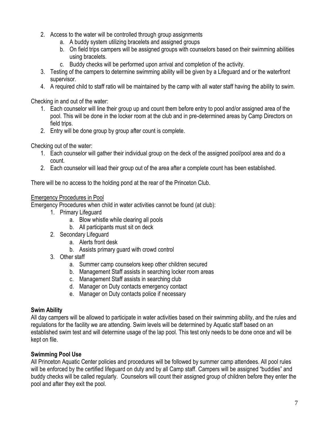- 2. Access to the water will be controlled through group assignments
	- a. A buddy system utilizing bracelets and assigned groups
	- b. On field trips campers will be assigned groups with counselors based on their swimming abilities using bracelets.
	- c. Buddy checks will be performed upon arrival and completion of the activity.
- 3. Testing of the campers to determine swimming ability will be given by a Lifeguard and or the waterfront supervisor.
- 4. A required child to staff ratio will be maintained by the camp with all water staff having the ability to swim.

Checking in and out of the water:

- 1. Each counselor will line their group up and count them before entry to pool and/or assigned area of the pool. This will be done in the locker room at the club and in pre-determined areas by Camp Directors on field trips.
- 2. Entry will be done group by group after count is complete.

Checking out of the water:

- 1. Each counselor will gather their individual group on the deck of the assigned pool/pool area and do a count.
- 2. Each counselor will lead their group out of the area after a complete count has been established.

There will be no access to the holding pond at the rear of the Princeton Club.

#### Emergency Procedures in Pool

Emergency Procedures when child in water activities cannot be found (at club):

- 1. Primary Lifeguard
	- a. Blow whistle while clearing all pools
	- b. All participants must sit on deck
- 2. Secondary Lifeguard
	- a. Alerts front desk
	- b. Assists primary guard with crowd control
- 3. Other staff
	- a. Summer camp counselors keep other children secured
	- b. Management Staff assists in searching locker room areas
	- c. Management Staff assists in searching club
	- d. Manager on Duty contacts emergency contact
	- e. Manager on Duty contacts police if necessary

#### **Swim Ability**

All day campers will be allowed to participate in water activities based on their swimming ability, and the rules and regulations for the facility we are attending. Swim levels will be determined by Aquatic staff based on an established swim test and will determine usage of the lap pool. This test only needs to be done once and will be kept on file.

#### **Swimming Pool Use**

All Princeton Aquatic Center policies and procedures will be followed by summer camp attendees. All pool rules will be enforced by the certified lifeguard on duty and by all Camp staff. Campers will be assigned "buddies" and buddy checks will be called regularly. Counselors will count their assigned group of children before they enter the pool and after they exit the pool.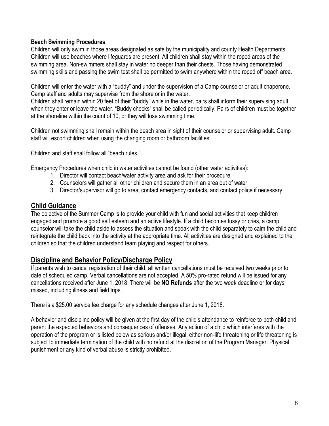#### **Beach Swimming Procedures**

Children will only swim in those areas designated as safe by the municipality and county Health Departments. Children will use beaches where lifeguards are present. All children shall stay within the roped areas of the swimming area. Non-swimmers shall stay in water no deeper than their chests. Those having demonstrated swimming skills and passing the swim test shall be permitted to swim anywhere within the roped off beach area.

Children will enter the water with a "buddy" and under the supervision of a Camp counselor or adult chaperone. Camp staff and adults may supervise from the shore or in the water.

Children shall remain within 20 feet of their "buddy" while in the water, pairs shall inform their supervising adult when they enter or leave the water. "Buddy checks" shall be called periodically. Pairs of children must be together at the shoreline within the count of 10, or they will lose swimming time.

Children not swimming shall remain within the beach area in sight of their counselor or supervising adult. Camp staff will escort children when using the changing room or bathroom facilities.

Children and staff shall follow all "beach rules."

Emergency Procedures when child in water activities cannot be found (other water activities):

- 1. Director will contact beach/water activity area and ask for their procedure
- 2. Counselors will gather all other children and secure them in an area out of water
- 3. Director/supervisor will go to area, contact emergency contacts, and contact police if necessary.

#### **Child Guidance**

The objective of the Summer Camp is to provide your child with fun and social activities that keep children engaged and promote a good self esteem and an active lifestyle. If a child becomes fussy or cries, a camp counselor will take the child aside to assess the situation and speak with the child separately to calm the child and reintegrate the child back into the activity at the appropriate time. All activities are designed and explained to the children so that the children understand team playing and respect for others.

#### **Discipline and Behavior Policy/Discharge Policy**

If parents wish to cancel registration of their child, all written cancellations must be received two weeks prior to date of scheduled camp. Verbal cancellations are not accepted. A 50% pro-rated refund will be issued for any cancellations received after June 1, 2018. There will be **NO Refunds** after the two week deadline or for days missed, including illness and field trips.

There is a \$25.00 service fee charge for any schedule changes after June 1, 2018.

A behavior and discipline policy will be given at the first day of the child's attendance to reinforce to both child and parent the expected behaviors and consequences of offenses. Any action of a child which interferes with the operation of the program or is listed below as serious and/or illegal, either non-life threatening or life threatening is subject to immediate termination of the child with no refund at the discretion of the Program Manager. Physical punishment or any kind of verbal abuse is strictly prohibited.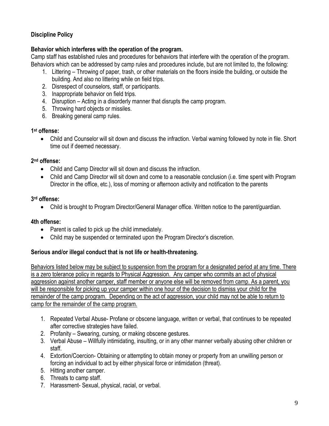#### **Discipline Policy**

#### **Behavior which interferes with the operation of the program.**

Camp staff has established rules and procedures for behaviors that interfere with the operation of the program. Behaviors which can be addressed by camp rules and procedures include, but are not limited to, the following:

- 1. Littering Throwing of paper, trash, or other materials on the floors inside the building, or outside the building. And also no littering while on field trips.
- 2. Disrespect of counselors, staff, or participants.
- 3. Inappropriate behavior on field trips.
- 4. Disruption Acting in a disorderly manner that disrupts the camp program.
- 5. Throwing hard objects or missiles.
- 6. Breaking general camp rules.

#### **1 st offense:**

 Child and Counselor will sit down and discuss the infraction. Verbal warning followed by note in file. Short time out if deemed necessary.

#### **2 nd offense:**

- Child and Camp Director will sit down and discuss the infraction.
- Child and Camp Director will sit down and come to a reasonable conclusion (i.e. time spent with Program Director in the office, etc.), loss of morning or afternoon activity and notification to the parents

#### **3 rd offense:**

Child is brought to Program Director/General Manager office. Written notice to the parent/guardian.

#### **4th offense:**

- Parent is called to pick up the child immediately.
- Child may be suspended or terminated upon the Program Director's discretion.

#### **Serious and/or illegal conduct that is not life or health-threatening.**

Behaviors listed below may be subject to suspension from the program for a designated period at any time. There is a zero tolerance policy in regards to Physical Aggression. Any camper who commits an act of physical aggression against another camper, staff member or anyone else will be removed from camp. As a parent, you will be responsible for picking up your camper within one hour of the decision to dismiss your child for the remainder of the camp program. Depending on the act of aggression, your child may not be able to return to camp for the remainder of the camp program.

- 1. Repeated Verbal Abuse- Profane or obscene language, written or verbal, that continues to be repeated after corrective strategies have failed.
- 2. Profanity Swearing, cursing, or making obscene gestures.
- 3. Verbal Abuse Willfully intimidating, insulting, or in any other manner verbally abusing other children or staff.
- 4. Extortion/Coercion- Obtaining or attempting to obtain money or property from an unwilling person or forcing an individual to act by either physical force or intimidation (threat).
- 5. Hitting another camper.
- 6. Threats to camp staff.
- 7. Harassment- Sexual, physical, racial, or verbal.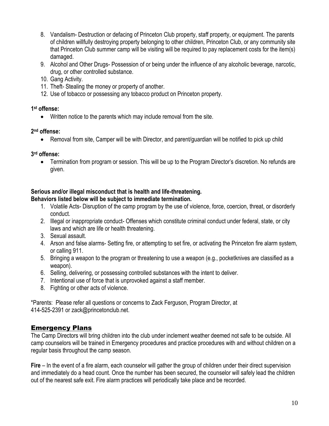- 8. Vandalism- Destruction or defacing of Princeton Club property, staff property, or equipment. The parents of children willfully destroying property belonging to other children, Princeton Club, or any community site that Princeton Club summer camp will be visiting will be required to pay replacement costs for the item(s) damaged.
- 9. Alcohol and Other Drugs- Possession of or being under the influence of any alcoholic beverage, narcotic, drug, or other controlled substance.
- 10. Gang Activity.
- 11. Theft- Stealing the money or property of another.
- 12. Use of tobacco or possessing any tobacco product on Princeton property.

#### **1 st offense:**

Written notice to the parents which may include removal from the site.

#### **2 nd offense:**

Removal from site, Camper will be with Director, and parent/guardian will be notified to pick up child

#### **3 rd offense:**

 Termination from program or session. This will be up to the Program Director's discretion. No refunds are given.

#### **Serious and/or illegal misconduct that is health and life-threatening.**

#### **Behaviors listed below will be subject to immediate termination.**

- 1. Volatile Acts- Disruption of the camp program by the use of violence, force, coercion, threat, or disorderly conduct.
- 2. Illegal or inappropriate conduct- Offenses which constitute criminal conduct under federal, state, or city laws and which are life or health threatening.
- 3. Sexual assault.
- 4. Arson and false alarms- Setting fire, or attempting to set fire, or activating the Princeton fire alarm system, or calling 911.
- 5. Bringing a weapon to the program or threatening to use a weapon (e.g., pocketknives are classified as a weapon).
- 6. Selling, delivering, or possessing controlled substances with the intent to deliver.
- 7. Intentional use of force that is unprovoked against a staff member.
- 8. Fighting or other acts of violence.

\*Parents: Please refer all questions or concerns to Zack Ferguson, Program Director, at 414-525-2391 or zack@princetonclub.net.

#### **Emergency Plans**

The Camp Directors will bring children into the club under inclement weather deemed not safe to be outside. All camp counselors will be trained in Emergency procedures and practice procedures with and without children on a regular basis throughout the camp season.

**Fire** – In the event of a fire alarm, each counselor will gather the group of children under their direct supervision and immediately do a head count. Once the number has been secured, the counselor will safely lead the children out of the nearest safe exit. Fire alarm practices will periodically take place and be recorded.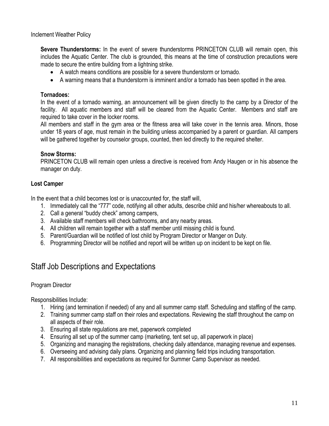Inclement Weather Policy

**Severe Thunderstorms:** In the event of severe thunderstorms PRINCETON CLUB will remain open, this includes the Aquatic Center. The club is grounded, this means at the time of construction precautions were made to secure the entire building from a lightning strike.

- A watch means conditions are possible for a severe thunderstorm or tornado.
- A warning means that a thunderstorm is imminent and/or a tornado has been spotted in the area.

#### **Tornadoes:**

In the event of a tornado warning, an announcement will be given directly to the camp by a Director of the facility. All aquatic members and staff will be cleared from the Aquatic Center. Members and staff are required to take cover in the locker rooms.

All members and staff in the gym area or the fitness area will take cover in the tennis area. Minors, those under 18 years of age, must remain in the building unless accompanied by a parent or guardian. All campers will be gathered together by counselor groups, counted, then led directly to the required shelter.

#### **Snow Storms:**

PRINCETON CLUB will remain open unless a directive is received from Andy Haugen or in his absence the manager on duty.

#### **Lost Camper**

In the event that a child becomes lost or is unaccounted for, the staff will,

- 1. Immediately call the "777" code, notifying all other adults, describe child and his/her whereabouts to all.
- 2. Call a general "buddy check" among campers,
- 3. Available staff members will check bathrooms, and any nearby areas.
- 4. All children will remain together with a staff member until missing child is found.
- 5. Parent/Guardian will be notified of lost child by Program Director or Manger on Duty.
- 6. Programming Director will be notified and report will be written up on incident to be kept on file.

## Staff Job Descriptions and Expectations

#### Program Director

Responsibilities Include:

- 1. Hiring (and termination if needed) of any and all summer camp staff. Scheduling and staffing of the camp.
- 2. Training summer camp staff on their roles and expectations. Reviewing the staff throughout the camp on all aspects of their role.
- 3. Ensuring all state regulations are met, paperwork completed
- 4. Ensuring all set up of the summer camp (marketing, tent set up, all paperwork in place)
- 5. Organizing and managing the registrations, checking daily attendance, managing revenue and expenses.
- 6. Overseeing and advising daily plans. Organizing and planning field trips including transportation.
- 7. All responsibilities and expectations as required for Summer Camp Supervisor as needed.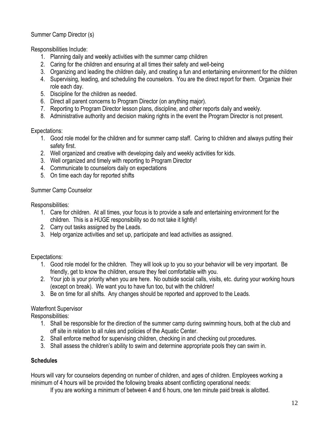Summer Camp Director (s)

Responsibilities Include:

- 1. Planning daily and weekly activities with the summer camp children
- 2. Caring for the children and ensuring at all times their safety and well-being
- 3. Organizing and leading the children daily, and creating a fun and entertaining environment for the children
- 4. Supervising, leading, and scheduling the counselors. You are the direct report for them. Organize their role each day.
- 5. Discipline for the children as needed.
- 6. Direct all parent concerns to Program Director (on anything major).
- 7. Reporting to Program Director lesson plans, discipline, and other reports daily and weekly.
- 8. Administrative authority and decision making rights in the event the Program Director is not present.

#### Expectations:

- 1. Good role model for the children and for summer camp staff. Caring to children and always putting their safety first.
- 2. Well organized and creative with developing daily and weekly activities for kids.
- 3. Well organized and timely with reporting to Program Director
- 4. Communicate to counselors daily on expectations
- 5. On time each day for reported shifts

#### Summer Camp Counselor

Responsibilities:

- 1. Care for children. At all times, your focus is to provide a safe and entertaining environment for the children. This is a HUGE responsibility so do not take it lightly!
- 2. Carry out tasks assigned by the Leads.
- 3. Help organize activities and set up, participate and lead activities as assigned.

#### Expectations:

- 1. Good role model for the children. They will look up to you so your behavior will be very important. Be friendly, get to know the children, ensure they feel comfortable with you.
- 2. Your job is your priority when you are here. No outside social calls, visits, etc. during your working hours (except on break). We want you to have fun too, but with the children!
- 3. Be on time for all shifts. Any changes should be reported and approved to the Leads.

#### Waterfront Supervisor

Responsibilities:

- 1. Shall be responsible for the direction of the summer camp during swimming hours, both at the club and off site in relation to all rules and policies of the Aquatic Center.
- 2. Shall enforce method for supervising children, checking in and checking out procedures.
- 3. Shall assess the children's ability to swim and determine appropriate pools they can swim in.

#### **Schedules**

Hours will vary for counselors depending on number of children, and ages of children. Employees working a minimum of 4 hours will be provided the following breaks absent conflicting operational needs:

If you are working a minimum of between 4 and 6 hours, one ten minute paid break is allotted.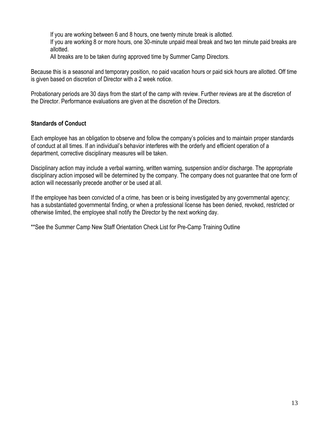If you are working between 6 and 8 hours, one twenty minute break is allotted.

If you are working 8 or more hours, one 30-minute unpaid meal break and two ten minute paid breaks are allotted.

All breaks are to be taken during approved time by Summer Camp Directors.

Because this is a seasonal and temporary position, no paid vacation hours or paid sick hours are allotted. Off time is given based on discretion of Director with a 2 week notice.

Probationary periods are 30 days from the start of the camp with review. Further reviews are at the discretion of the Director. Performance evaluations are given at the discretion of the Directors.

#### **Standards of Conduct**

Each employee has an obligation to observe and follow the company's policies and to maintain proper standards of conduct at all times. If an individual's behavior interferes with the orderly and efficient operation of a department, corrective disciplinary measures will be taken.

Disciplinary action may include a verbal warning, written warning, suspension and/or discharge. The appropriate disciplinary action imposed will be determined by the company. The company does not guarantee that one form of action will necessarily precede another or be used at all.

If the employee has been convicted of a crime, has been or is being investigated by any governmental agency; has a substantiated governmental finding, or when a professional license has been denied, revoked, restricted or otherwise limited, the employee shall notify the Director by the next working day.

\*\*See the Summer Camp New Staff Orientation Check List for Pre-Camp Training Outline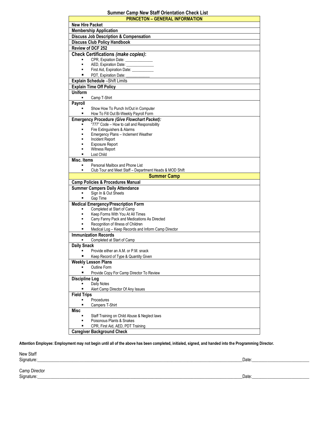#### **Summer Camp New Staff Orientation Check List**

| <b>PRINCETON - GENERAL INFORMATION</b>                                                    |  |
|-------------------------------------------------------------------------------------------|--|
| <b>New Hire Packet</b>                                                                    |  |
| <b>Membership Application</b>                                                             |  |
| <b>Discuss Job Description &amp; Compensation</b>                                         |  |
| <b>Discuss Club Policy Handbook</b>                                                       |  |
| <b>Review of DCF 252</b>                                                                  |  |
| <b>Check Certifications (make copies):</b>                                                |  |
| CPR, Expiation Date: ______________                                                       |  |
| AED, Expiration Date: ______________<br>Ξ                                                 |  |
| First Aid, Expiration Date: ___________                                                   |  |
| PDT, Expiration Date:                                                                     |  |
| Explain Schedule - Shift Limits                                                           |  |
| <b>Explain Time Off Policy</b>                                                            |  |
| <b>Uniform</b>                                                                            |  |
| Camp T-Shirt<br>٠                                                                         |  |
| <b>Payroll</b>                                                                            |  |
| Show How To Punch In/Out in Computer                                                      |  |
| How To Fill Out Bi-Weekly Payroll Form<br>٠                                               |  |
| Emergency Procedure (Give Flowchart Packet):                                              |  |
| "777" Code - How to call and Responsibility                                               |  |
| Fire Extinguishers & Alarms<br>Ξ                                                          |  |
| Emergency Plans - Inclement Weather<br>Incident Report<br>٠                               |  |
| <b>Exposure Report</b>                                                                    |  |
| Witness Report                                                                            |  |
| Lost Child<br>٠                                                                           |  |
| Misc. Items                                                                               |  |
| Personal Mailbox and Phone List<br>$\blacksquare$                                         |  |
| Club Tour and Meet Staff - Department Heads & MOD Shift                                   |  |
| <b>Summer Camp</b>                                                                        |  |
| <b>Camp Policies &amp; Procedures Manual</b>                                              |  |
| <b>Summer Campers Daily Attendance</b>                                                    |  |
| Sign In & Out Sheets                                                                      |  |
| Gap Time                                                                                  |  |
| <b>Medical Emergency/Prescription Form</b>                                                |  |
| Completed at Start of Camp                                                                |  |
| Keep Forms With You At All Times                                                          |  |
| Carry Fanny Pack and Medications As Directed<br>٠<br>$\blacksquare$                       |  |
| Recognition of Illness of Children<br>Medical Log - Keep Records and Inform Camp Director |  |
| <b>Immunization Records</b>                                                               |  |
| Completed at Start of Camp                                                                |  |
| <b>Daily Snack</b>                                                                        |  |
| Provide either an A.M. or P.M. snack                                                      |  |
| Keep Record of Type & Quantity Given                                                      |  |
| <b>Weekly Lesson Plans</b>                                                                |  |
| Outline Form                                                                              |  |
| Provide Copy For Camp Director To Review                                                  |  |
| <b>Discipline Log</b>                                                                     |  |
| Daily Notes                                                                               |  |
| п<br>Alert Camp Director Of Any Issues                                                    |  |
| <b>Field Trips</b>                                                                        |  |
| Procedures<br>٠                                                                           |  |
| п<br>Campers T-Shirt                                                                      |  |
| <b>Misc</b>                                                                               |  |
| Staff Training on Child Abuse & Neglect laws                                              |  |
| Poisonous Plants & Snakes                                                                 |  |
| CPR, First Aid, AED, PDT Training                                                         |  |
| <b>Caregiver Background Check</b>                                                         |  |

**Attention Employee: Employment may not begin until all of the above has been completed, initialed, signed, and handed into the Programming Director.**

New Staff<br>Signature:

Signature:\_\_\_\_\_\_\_\_\_\_\_\_\_\_\_\_\_\_\_\_\_\_\_\_\_\_\_\_\_\_\_\_\_\_\_\_\_\_\_\_\_\_\_\_\_\_\_\_\_\_\_\_\_\_\_\_\_\_\_\_\_\_\_\_\_\_\_\_\_\_\_\_\_\_\_\_\_\_\_\_\_\_\_\_\_\_\_\_\_\_\_\_\_Date:\_\_\_\_\_\_\_\_\_\_\_\_\_\_\_\_\_\_\_\_\_\_\_\_\_\_

Camp Director<br>Signature:

Signature:\_\_\_\_\_\_\_\_\_\_\_\_\_\_\_\_\_\_\_\_\_\_\_\_\_\_\_\_\_\_\_\_\_\_\_\_\_\_\_\_\_\_\_\_\_\_\_\_\_\_\_\_\_\_\_\_\_\_\_\_\_\_\_\_\_\_\_\_\_\_\_\_\_\_\_\_\_\_\_\_\_\_\_\_\_\_\_\_\_\_\_\_\_Date:\_\_\_\_\_\_\_\_\_\_\_\_\_\_\_\_\_\_\_\_\_\_\_\_\_\_